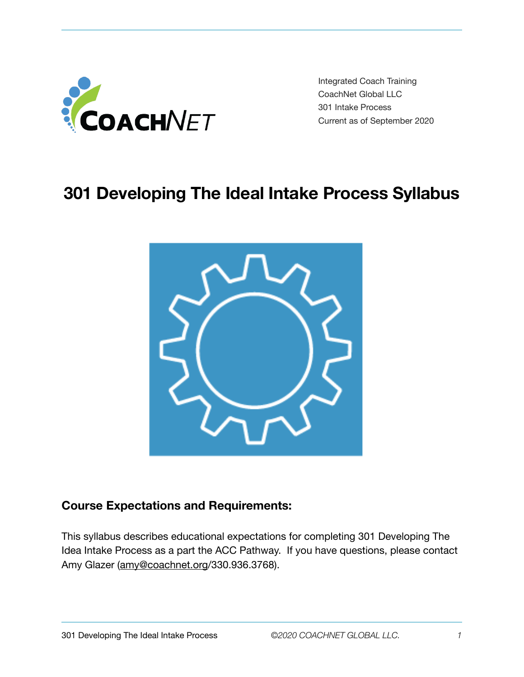

Integrated Coach Training CoachNet Global LLC 301 Intake Process Current as of September 2020

# **301 Developing The Ideal Intake Process Syllabus**



## **Course Expectations and Requirements:**

This syllabus describes educational expectations for completing 301 Developing The Idea Intake Process as a part the ACC Pathway. If you have questions, please contact Amy Glazer [\(amy@coachnet.org](mailto:amy@coachnet.org)/330.936.3768).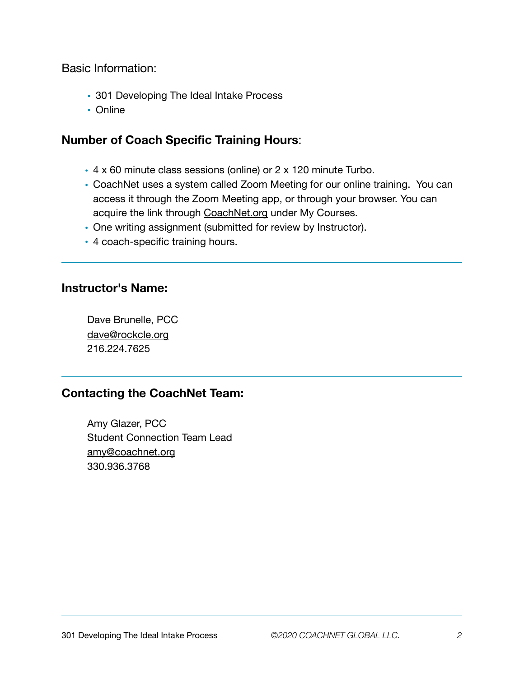Basic Information:

- 301 Developing The Ideal Intake Process
- Online

## **Number of Coach Specific Training Hours**:

- 4 x 60 minute class sessions (online) or 2 x 120 minute Turbo.
- CoachNet uses a system called Zoom Meeting for our online training. You can access it through the Zoom Meeting app, or through your browser. You can acquire the link through [CoachNet.org](http://CoachNet.org) under My Courses.
- One writing assignment (submitted for review by Instructor).
- 4 coach-specific training hours.

#### **Instructor's Name:**

Dave Brunelle, PCC [dave@rockcle.org](mailto:dave@rockcle.org) 216.224.7625

## **Contacting the CoachNet Team:**

Amy Glazer, PCC Student Connection Team Lead [amy@coachnet.org](mailto:amy@coachnet.org) 330.936.3768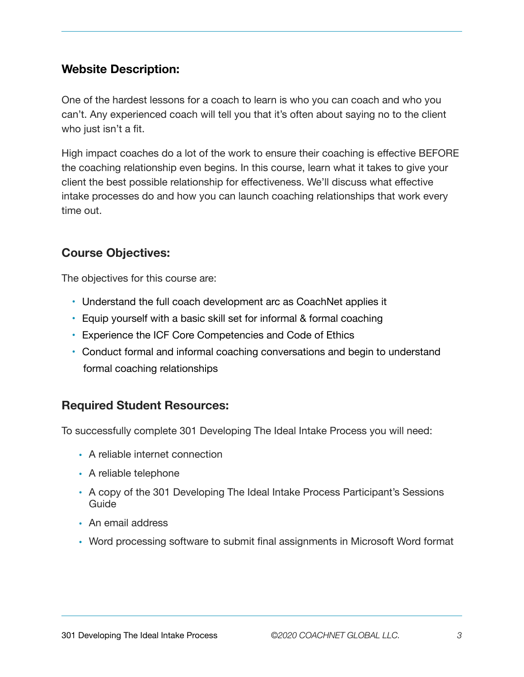## **Website Description:**

One of the hardest lessons for a coach to learn is who you can coach and who you can't. Any experienced coach will tell you that it's often about saying no to the client who just isn't a fit.

High impact coaches do a lot of the work to ensure their coaching is effective BEFORE the coaching relationship even begins. In this course, learn what it takes to give your client the best possible relationship for effectiveness. We'll discuss what effective intake processes do and how you can launch coaching relationships that work every time out.

# **Course Objectives:**

The objectives for this course are:

- Understand the full coach development arc as CoachNet applies it
- Equip yourself with a basic skill set for informal & formal coaching
- Experience the ICF Core Competencies and Code of Ethics
- Conduct formal and informal coaching conversations and begin to understand formal coaching relationships

# **Required Student Resources:**

To successfully complete 301 Developing The Ideal Intake Process you will need:

- A reliable internet connection
- A reliable telephone
- A copy of the 301 Developing The Ideal Intake Process Participant's Sessions Guide
- An email address
- Word processing software to submit final assignments in Microsoft Word format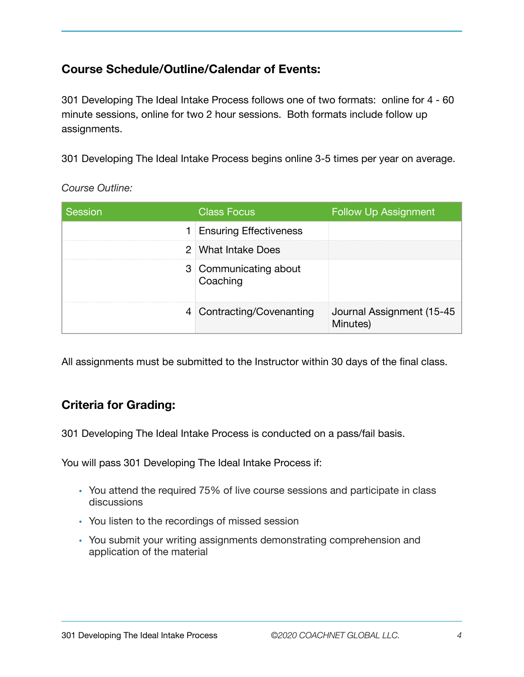# **Course Schedule/Outline/Calendar of Events:**

301 Developing The Ideal Intake Process follows one of two formats: online for 4 - 60 minute sessions, online for two 2 hour sessions. Both formats include follow up assignments.

301 Developing The Ideal Intake Process begins online 3-5 times per year on average.

*Course Outline:* 

| Session | <b>Class Focus</b>                | <b>Follow Up Assignment</b>           |
|---------|-----------------------------------|---------------------------------------|
|         | 1 Ensuring Effectiveness          |                                       |
|         | 2 What Intake Does                |                                       |
|         | 3 Communicating about<br>Coaching |                                       |
|         | 4 Contracting/Covenanting         | Journal Assignment (15-45<br>Minutes) |

All assignments must be submitted to the Instructor within 30 days of the final class.

## **Criteria for Grading:**

301 Developing The Ideal Intake Process is conducted on a pass/fail basis.

You will pass 301 Developing The Ideal Intake Process if:

- You attend the required 75% of live course sessions and participate in class discussions
- You listen to the recordings of missed session
- You submit your writing assignments demonstrating comprehension and application of the material